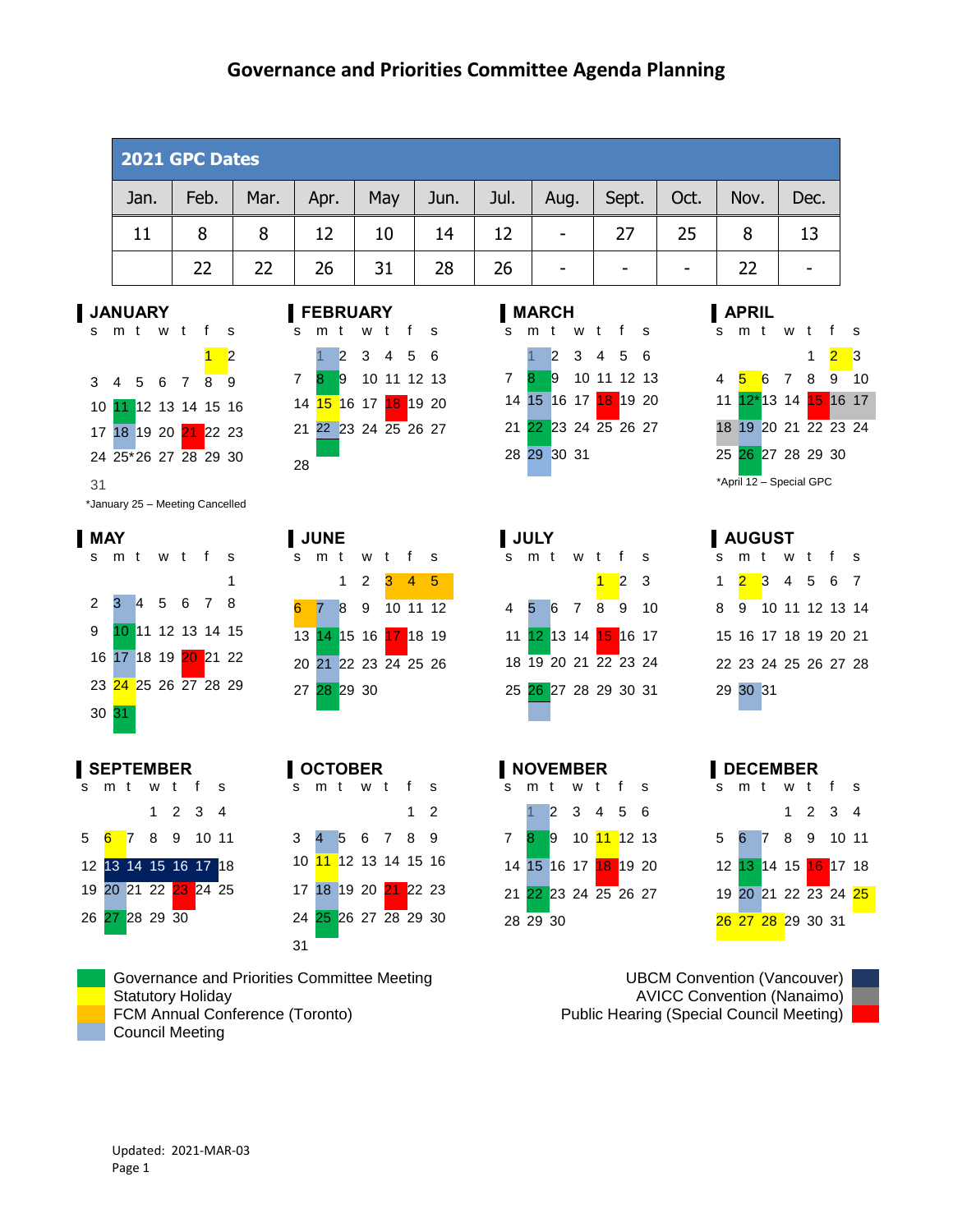#### **Governance and Priorities Committee Agenda Planning**

| 2021 GPC Dates |      |      |      |     |      |      |                              |       |      |      |      |
|----------------|------|------|------|-----|------|------|------------------------------|-------|------|------|------|
| Jan.           | Feb. | Mar. | Apr. | May | Jun. | Jul. | Aug.                         | Sept. | Oct. | Nov. | Dec. |
| 11             | 8    | 8    | 12   | 10  | 14   | 12   | $\qquad \qquad \blacksquare$ | 27    | 25   | 8    | 13   |
|                | 22   | 22   | 26   | 31  | 28   | 26   | ۰                            | -     | -    |      |      |



\*January 25 – Meeting Cancelled



| SEPTEMBER |  |  |                             |  |                                                                                   |  |  |  |  |
|-----------|--|--|-----------------------------|--|-----------------------------------------------------------------------------------|--|--|--|--|
|           |  |  | s m t w t f s               |  |                                                                                   |  |  |  |  |
|           |  |  |                             |  | $1 \t2 \t3 \t4$                                                                   |  |  |  |  |
|           |  |  |                             |  | 5 <mark>6 </mark> 7 8 9 10 11                                                     |  |  |  |  |
|           |  |  |                             |  | 12 <mark>13  14  15  16  17  18</mark><br>19  20  21  22 <mark>23  </mark> 24  25 |  |  |  |  |
|           |  |  |                             |  |                                                                                   |  |  |  |  |
|           |  |  | 26 <mark>27</mark> 28 29 30 |  |                                                                                   |  |  |  |  |
|           |  |  |                             |  |                                                                                   |  |  |  |  |

## s m t w t f s





#### s m t w t f s 2 4 5 6 7 8 9 11 12 13 14 15 16 18 19 20 21 22 23 25 26 27 28 29 30

Governance and Priorities Committee Meeting UBCM Convention (Vancouver) Statutory Holiday **AVICC Convention (Nanaimo) AVICC Convention (Nanaimo)** FCM Annual Conference (Toronto) **Public Hearing (Special Council Meeting)** Public Hearing (Special Council Meeting) Council Meeting

#### s m t w t f s 2 3 4 5 6 8 9 10 11 12 13 15 16 17 18 19 20 22 23 24 25 26 27





## s m t w t f s 1 <mark>2 3</mark> 4 5 6 7 9 10 11 12 13 14 16 17 18 19 20 21 23 24 25 26 27 28 30 31

 $2^{\circ}$  3

## s m t w t f s 2 3 4 5 6



#### **SEPTEMBER OCTOBER NOVEMBER DECEMBER** s m t w t f s 2 3 4 6 7 8 9 10 11 13 14 15 16 17 18 20 21 22 23 24 25 27 28 29 30 31

**MAY JUNE JULY AUGUST** s m t w t f s

# 29 30 31

Updated: 2021-MAR-03 Page 1